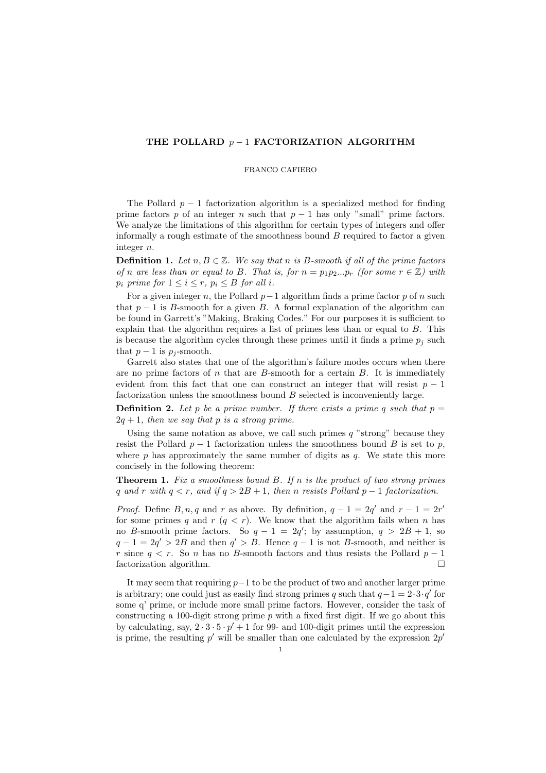## THE POLLARD  $p-1$  FACTORIZATION ALGORITHM

## FRANCO CAFIERO

The Pollard  $p-1$  factorization algorithm is a specialized method for finding prime factors p of an integer n such that  $p-1$  has only "small" prime factors. We analyze the limitations of this algorithm for certain types of integers and offer informally a rough estimate of the smoothness bound  $B$  required to factor a given integer n.

**Definition 1.** Let  $n, B \in \mathbb{Z}$ . We say that n is B-smooth if all of the prime factors of n are less than or equal to B. That is, for  $n = p_1p_2...p_r$  (for some  $r \in \mathbb{Z}$ ) with  $p_i$  prime for  $1 \leq i \leq r$ ,  $p_i \leq B$  for all i.

For a given integer n, the Pollard  $p-1$  algorithm finds a prime factor p of n such that  $p-1$  is B-smooth for a given B. A formal explanation of the algorithm can be found in Garrett's "Making, Braking Codes." For our purposes it is sufficient to explain that the algorithm requires a list of primes less than or equal to  $B$ . This is because the algorithm cycles through these primes until it finds a prime  $p_i$  such that  $p-1$  is  $p_j$ -smooth.

Garrett also states that one of the algorithm's failure modes occurs when there are no prime factors of  $n$  that are  $B$ -smooth for a certain  $B$ . It is immediately evident from this fact that one can construct an integer that will resist  $p-1$ factorization unless the smoothness bound  $B$  selected is inconveniently large.

**Definition 2.** Let p be a prime number. If there exists a prime q such that  $p =$  $2q + 1$ , then we say that p is a strong prime.

Using the same notation as above, we call such primes  $q$  "strong" because they resist the Pollard  $p-1$  factorization unless the smoothness bound B is set to p, where  $p$  has approximately the same number of digits as  $q$ . We state this more concisely in the following theorem:

**Theorem 1.** Fix a smoothness bound  $B$ . If n is the product of two strong primes q and r with  $q < r$ , and if  $q > 2B + 1$ , then n resists Pollard  $p - 1$  factorization.

*Proof.* Define  $B, n, q$  and r as above. By definition,  $q - 1 = 2q'$  and  $r - 1 = 2r'$ for some primes q and  $r (q < r)$ . We know that the algorithm fails when n has no B-smooth prime factors. So  $q - 1 = 2q'$ ; by assumption,  $q > 2B + 1$ , so  $q-1=2q'>2B$  and then  $q'>B$ . Hence  $q-1$  is not B-smooth, and neither is r since  $q < r$ . So n has no B-smooth factors and thus resists the Pollard  $p - 1$ factorization algorithm.

It may seem that requiring  $p-1$  to be the product of two and another larger prime is arbitrary; one could just as easily find strong primes q such that  $q-1=2 \cdot 3 \cdot q'$  for some q' prime, or include more small prime factors. However, consider the task of constructing a 100-digit strong prime  $p$  with a fixed first digit. If we go about this by calculating, say,  $2 \cdot 3 \cdot 5 \cdot p' + 1$  for 99- and 100-digit primes until the expression is prime, the resulting  $p'$  will be smaller than one calculated by the expression  $2p'$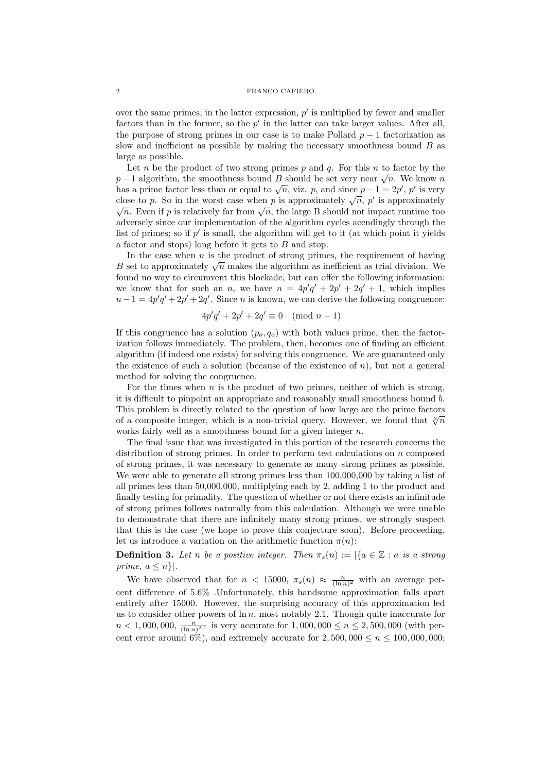## 2 FRANCO CAFIERO

over the same primes; in the latter expression,  $p'$  is multiplied by fewer and smaller factors than in the former, so the  $p'$  in the latter can take larger values. After all, the purpose of strong primes in our case is to make Pollard  $p-1$  factorization as slow and inefficient as possible by making the necessary smoothness bound  $B$  as large as possible.

Let n be the product of two strong primes  $p$  and  $q$ . For this n to factor by the Let *n* be the product of two strong primes *p* and *q*. For this *n* to factor by the  $p-1$  algorithm, the smoothness bound *B* should be set very near  $\sqrt{n}$ . We know *n*  $p-1$  algorithm, the smoothness bound B should be set very near  $\sqrt{n}$ . We know n has a prime factor less than or equal to  $\sqrt{n}$ , viz. p, and since  $p-1=2p'$ , p' is very has a prime factor less than or equal to  $\sqrt{n}$ , viz. p, and since  $p - 1 = 2p'$ , p' is very close to p. So in the worst case when p is approximately  $\sqrt{n}$ , p' is approximately be to p. So in the worst case when p is approximately  $\sqrt{n}$ , p' is approximately  $\overline{n}$ . Even if p is relatively far from  $\sqrt{n}$ , the large B should not impact runtime too adversely since our implementation of the algorithm cycles acendingly through the list of primes; so if  $p'$  is small, the algorithm will get to it (at which point it yields a factor and stops) long before it gets to B and stop.

In the case when  $n$  is the product of strong primes, the requirement of having In the case when *n* is the product of strong primes, the requirement of having *B* set to approximately  $\sqrt{n}$  makes the algorithm as inefficient as trial division. We found no way to circumvent this blockade, but can offer the following information: we know that for such an n, we have  $n = 4p'q' + 2p' + 2q' + 1$ , which implies  $n-1 = 4p'q' + 2p' + 2q'$ . Since n is known, we can derive the following congruence:

$$
4p'q'+2p'+2q' \equiv 0 \pmod{n-1}
$$

If this congruence has a solution  $(p_o, q_o)$  with both values prime, then the factorization follows immediately. The problem, then, becomes one of finding an efficient algorithm (if indeed one exists) for solving this congruence. We are guaranteed only the existence of such a solution (because of the existence of  $n$ ), but not a general method for solving the congruence.

For the times when  $n$  is the product of two primes, neither of which is strong, it is difficult to pinpoint an appropriate and reasonably small smoothness bound b. This problem is directly related to the question of how large are the prime factors of a composite integer, which is a non-trivial query. However, we found that  $\sqrt[3]{n}$ works fairly well as a smoothness bound for a given integer  $n$ .

The final issue that was investigated in this portion of the research concerns the distribution of strong primes. In order to perform test calculations on n composed of strong primes, it was necessary to generate as many strong primes as possible. We were able to generate all strong primes less than 100,000,000 by taking a list of all primes less than 50,000,000, multiplying each by 2, adding 1 to the product and finally testing for primality. The question of whether or not there exists an infinitude of strong primes follows naturally from this calculation. Although we were unable to demonstrate that there are infinitely many strong primes, we strongly suspect that this is the case (we hope to prove this conjecture soon). Before proceeding, let us introduce a variation on the arithmetic function  $\pi(n)$ :

**Definition 3.** Let n be a positive integer. Then  $\pi_s(n) := |\{a \in \mathbb{Z} : a \text{ is a strong}\}\rangle$ prime,  $a \leq n$ .

We have observed that for  $n < 15000$ ,  $\pi_s(n) \approx \frac{n}{(\ln n)^2}$  with an average percent difference of 5.6% .Unfortunately, this handsome approximation falls apart entirely after 15000. However, the surprising accuracy of this approximation led us to consider other powers of  $\ln n$ , most notably 2.1. Though quite inaccurate for  $n < 1,000,000, \frac{n}{(\ln n)^{2.1}}$  is very accurate for  $1,000,000 \le n \le 2,500,000$  (with percent error around 6%), and extremely accurate for  $2,500,000 \le n \le 100,000,000;$